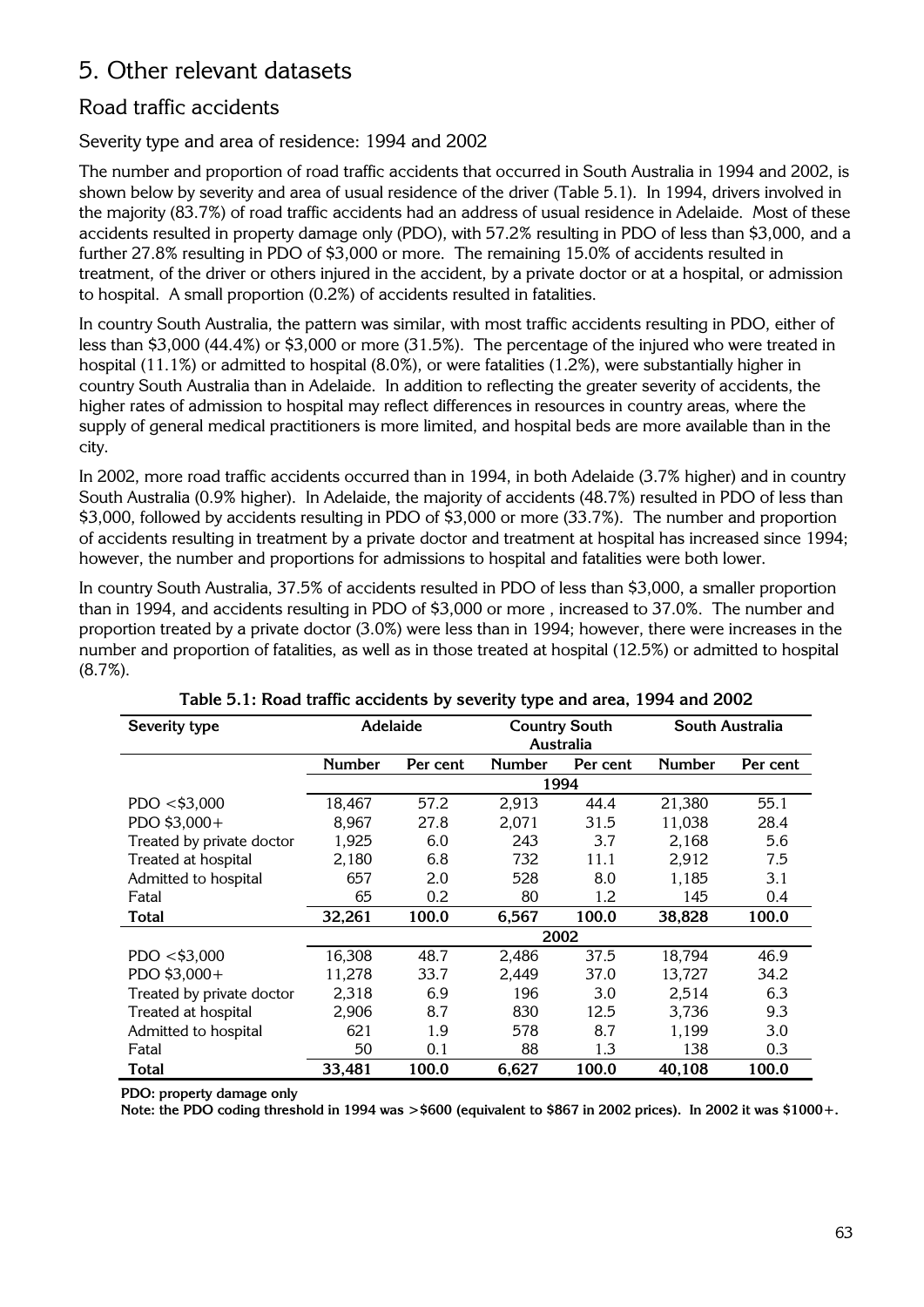# 5. Other relevant datasets

## Road traffic accidents

Severity type and area of residence: 1994 and 2002

The number and proportion of road traffic accidents that occurred in South Australia in 1994 and 2002, is shown below by severity and area of usual residence of the driver (Table 5.1). In 1994, drivers involved in the majority (83.7%) of road traffic accidents had an address of usual residence in Adelaide. Most of these accidents resulted in property damage only (PDO), with 57.2% resulting in PDO of less than \$3,000, and a further 27.8% resulting in PDO of \$3,000 or more. The remaining 15.0% of accidents resulted in treatment, of the driver or others injured in the accident, by a private doctor or at a hospital, or admission to hospital. A small proportion (0.2%) of accidents resulted in fatalities.

In country South Australia, the pattern was similar, with most traffic accidents resulting in PDO, either of less than \$3,000 (44.4%) or \$3,000 or more (31.5%). The percentage of the injured who were treated in hospital (11.1%) or admitted to hospital (8.0%), or were fatalities (1.2%), were substantially higher in country South Australia than in Adelaide. In addition to reflecting the greater severity of accidents, the higher rates of admission to hospital may reflect differences in resources in country areas, where the supply of general medical practitioners is more limited, and hospital beds are more available than in the city.

In 2002, more road traffic accidents occurred than in 1994, in both Adelaide (3.7% higher) and in country South Australia (0.9% higher). In Adelaide, the majority of accidents (48.7%) resulted in PDO of less than \$3,000, followed by accidents resulting in PDO of \$3,000 or more (33.7%). The number and proportion of accidents resulting in treatment by a private doctor and treatment at hospital has increased since 1994; however, the number and proportions for admissions to hospital and fatalities were both lower.

In country South Australia, 37.5% of accidents resulted in PDO of less than \$3,000, a smaller proportion than in 1994, and accidents resulting in PDO of \$3,000 or more , increased to 37.0%. The number and proportion treated by a private doctor (3.0%) were less than in 1994; however, there were increases in the number and proportion of fatalities, as well as in those treated at hospital (12.5%) or admitted to hospital (8.7%).

| Severity type             | Adelaide      |          |               | <b>Country South</b> | South Australia |          |
|---------------------------|---------------|----------|---------------|----------------------|-----------------|----------|
|                           |               |          |               | Australia            |                 |          |
|                           | <b>Number</b> | Per cent | <b>Number</b> | Per cent             | Number          | Per cent |
|                           |               |          |               | 1994                 |                 |          |
| PDO < \$3,000             | 18,467        | 57.2     | 2,913         | 44.4                 | 21,380          | 55.1     |
| PDO \$3,000+              | 8,967         | 27.8     | 2,071         | 31.5                 | 11,038          | 28.4     |
| Treated by private doctor | 1,925         | 6.0      | 243           | 3.7                  | 2,168           | 5.6      |
| Treated at hospital       | 2,180         | 6.8      | 732           | 11.1                 | 2,912           | 7.5      |
| Admitted to hospital      | 657           | 2.0      | 528           | 8.0                  | 1,185           | 3.1      |
| Fatal                     | 65            | 0.2      | 80            | 1.2                  | 145             | 0.4      |
| <b>Total</b>              | 32,261        | 100.0    | 6,567         | 100.0                | 38,828          | 100.0    |
|                           |               |          |               | 2002                 |                 |          |
| PDO < \$3,000             | 16,308        | 48.7     | 2.486         | 37.5                 | 18,794          | 46.9     |
| PDO \$3,000+              | 11,278        | 33.7     | 2,449         | 37.0                 | 13,727          | 34.2     |
| Treated by private doctor | 2,318         | 6.9      | 196           | 3.0                  | 2,514           | 6.3      |
| Treated at hospital       | 2,906         | 8.7      | 830           | 12.5                 | 3,736           | 9.3      |
| Admitted to hospital      | 621           | 1.9      | 578           | 8.7                  | 1,199           | 3.0      |
| Fatal                     | 50            | 0.1      | 88            | 1.3                  | 138             | 0.3      |
| Total                     | 33,481        | 100.0    | 6,627         | 100.0                | 40.108          | 100.0    |

Table 5.1: Road traffic accidents by severity type and area, 1994 and 2002

PDO: property damage only

Note: the PDO coding threshold in 1994 was >\$600 (equivalent to \$867 in 2002 prices). In 2002 it was \$1000+.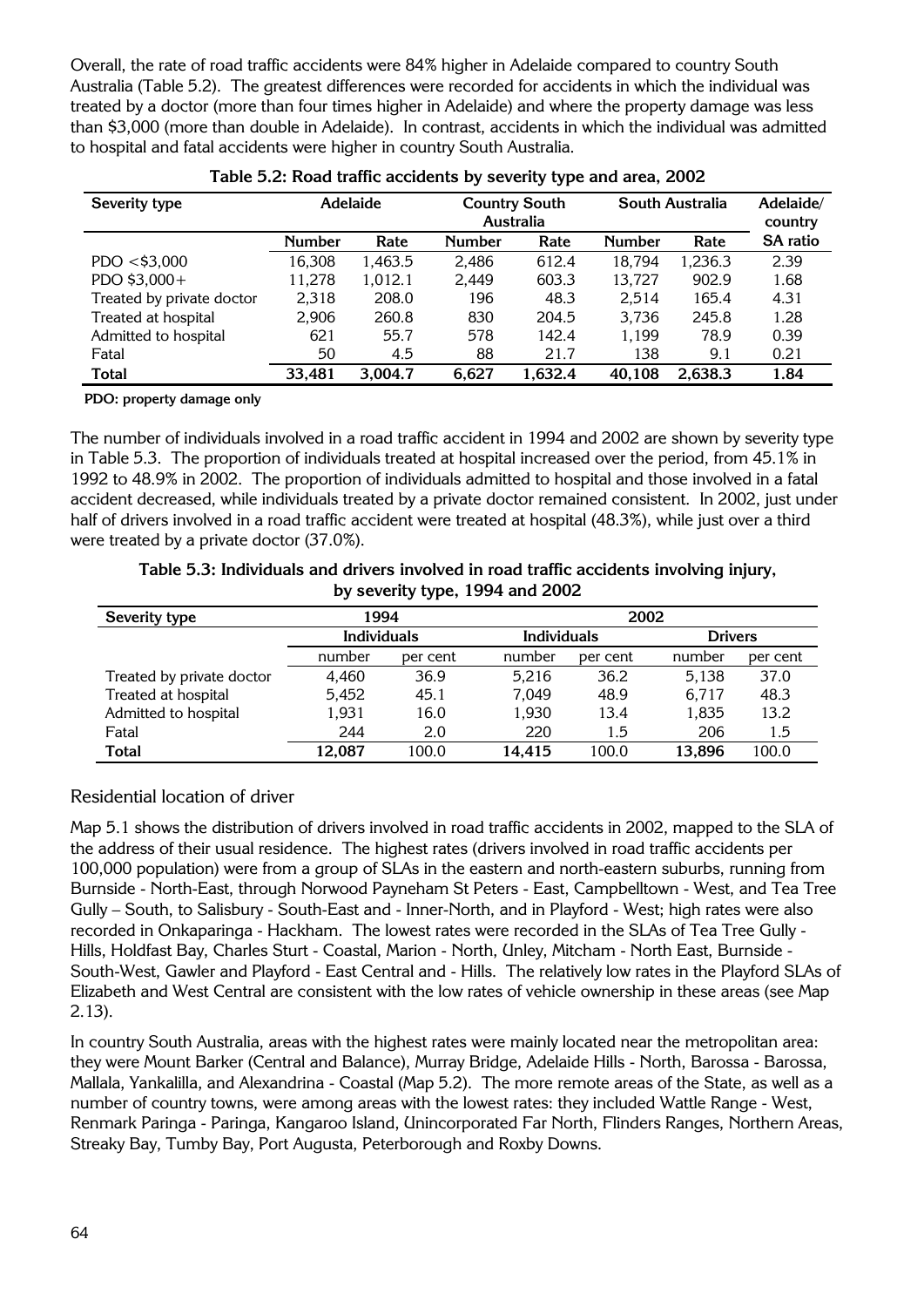Overall, the rate of road traffic accidents were 84% higher in Adelaide compared to country South Australia (Table 5.2). The greatest differences were recorded for accidents in which the individual was treated by a doctor (more than four times higher in Adelaide) and where the property damage was less than \$3,000 (more than double in Adelaide). In contrast, accidents in which the individual was admitted to hospital and fatal accidents were higher in country South Australia.

| Severity type             |               | <b>Adelaide</b> | South Australia<br><b>Country South</b><br><b>Australia</b> |         |               |         | Adelaide/<br>country |
|---------------------------|---------------|-----------------|-------------------------------------------------------------|---------|---------------|---------|----------------------|
|                           | <b>Number</b> | Rate            | <b>Number</b>                                               | Rate    | <b>Number</b> | Rate    | <b>SA</b> ratio      |
| PDO < \$3,000             | 16,308        | 1,463.5         | 2.486                                                       | 612.4   | 18,794        | 1,236.3 | 2.39                 |
| PDO \$3,000+              | 11,278        | 1,012.1         | 2,449                                                       | 603.3   | 13,727        | 902.9   | 1.68                 |
| Treated by private doctor | 2,318         | 208.0           | 196                                                         | 48.3    | 2,514         | 165.4   | 4.31                 |
| Treated at hospital       | 2,906         | 260.8           | 830                                                         | 204.5   | 3,736         | 245.8   | 1.28                 |
| Admitted to hospital      | 621           | 55.7            | 578                                                         | 142.4   | 1,199         | 78.9    | 0.39                 |
| Fatal                     | 50            | 4.5             | 88                                                          | 21.7    | 138           | 9.1     | 0.21                 |
| <b>Total</b>              | 33,481        | 3,004.7         | 6,627                                                       | 1,632.4 | 40,108        | 2,638.3 | 1.84                 |

| Table 5.2: Road traffic accidents by severity type and area, 2002 |  |  |  |  |  |  |  |  |  |  |  |  |
|-------------------------------------------------------------------|--|--|--|--|--|--|--|--|--|--|--|--|
|-------------------------------------------------------------------|--|--|--|--|--|--|--|--|--|--|--|--|

**PDO: property damage only** 

The number of individuals involved in a road traffic accident in 1994 and 2002 are shown by severity type in Table 5.3. The proportion of individuals treated at hospital increased over the period, from 45.1% in 1992 to 48.9% in 2002. The proportion of individuals admitted to hospital and those involved in a fatal accident decreased, while individuals treated by a private doctor remained consistent. In 2002, just under half of drivers involved in a road traffic accident were treated at hospital (48.3%), while just over a third were treated by a private doctor (37.0%).

|              | Table 5.3: Individuals and drivers involved in road traffic accidents involving injury,<br>by severity type, 1994 and 2002 |             |         |
|--------------|----------------------------------------------------------------------------------------------------------------------------|-------------|---------|
| everity type | 1994                                                                                                                       | 2002        |         |
|              | Individuals                                                                                                                | Individuals | Drivers |

| Severity type             | 1994               |          | 2002               |          |                |          |  |
|---------------------------|--------------------|----------|--------------------|----------|----------------|----------|--|
|                           | <b>Individuals</b> |          | <b>Individuals</b> |          | <b>Drivers</b> |          |  |
|                           | number             | per cent | number             | per cent | number         | per cent |  |
| Treated by private doctor | 4.460              | 36.9     | 5.216              | 36.2     | 5.138          | 37.0     |  |
| Treated at hospital       | 5.452              | 45.1     | 7,049              | 48.9     | 6.717          | 48.3     |  |
| Admitted to hospital      | 1.931              | 16.0     | 1,930              | 13.4     | 1,835          | 13.2     |  |
| Fatal                     | 244                | 2.0      | 220                | 1.5      | 206            | 1.5      |  |
| <b>Total</b>              | 100.0<br>12.087    |          | 14.415             | 100.0    | 13.896         | 100.0    |  |

#### Residential location of driver

Map 5.1 shows the distribution of drivers involved in road traffic accidents in 2002, mapped to the SLA of the address of their usual residence. The highest rates (drivers involved in road traffic accidents per 100,000 population) were from a group of SLAs in the eastern and north-eastern suburbs, running from Burnside - North-East, through Norwood Payneham St Peters - East, Campbelltown - West, and Tea Tree Gully – South, to Salisbury - South-East and - Inner-North, and in Playford - West; high rates were also recorded in Onkaparinga - Hackham. The lowest rates were recorded in the SLAs of Tea Tree Gully - Hills, Holdfast Bay, Charles Sturt - Coastal, Marion - North, Unley, Mitcham - North East, Burnside - South-West, Gawler and Playford - East Central and - Hills. The relatively low rates in the Playford SLAs of Elizabeth and West Central are consistent with the low rates of vehicle ownership in these areas (see Map 2.13).

In country South Australia, areas with the highest rates were mainly located near the metropolitan area: they were Mount Barker (Central and Balance), Murray Bridge, Adelaide Hills - North, Barossa - Barossa, Mallala, Yankalilla, and Alexandrina - Coastal (Map 5.2). The more remote areas of the State, as well as a number of country towns, were among areas with the lowest rates: they included Wattle Range - West, Renmark Paringa - Paringa, Kangaroo Island, Unincorporated Far North, Flinders Ranges, Northern Areas, Streaky Bay, Tumby Bay, Port Augusta, Peterborough and Roxby Downs.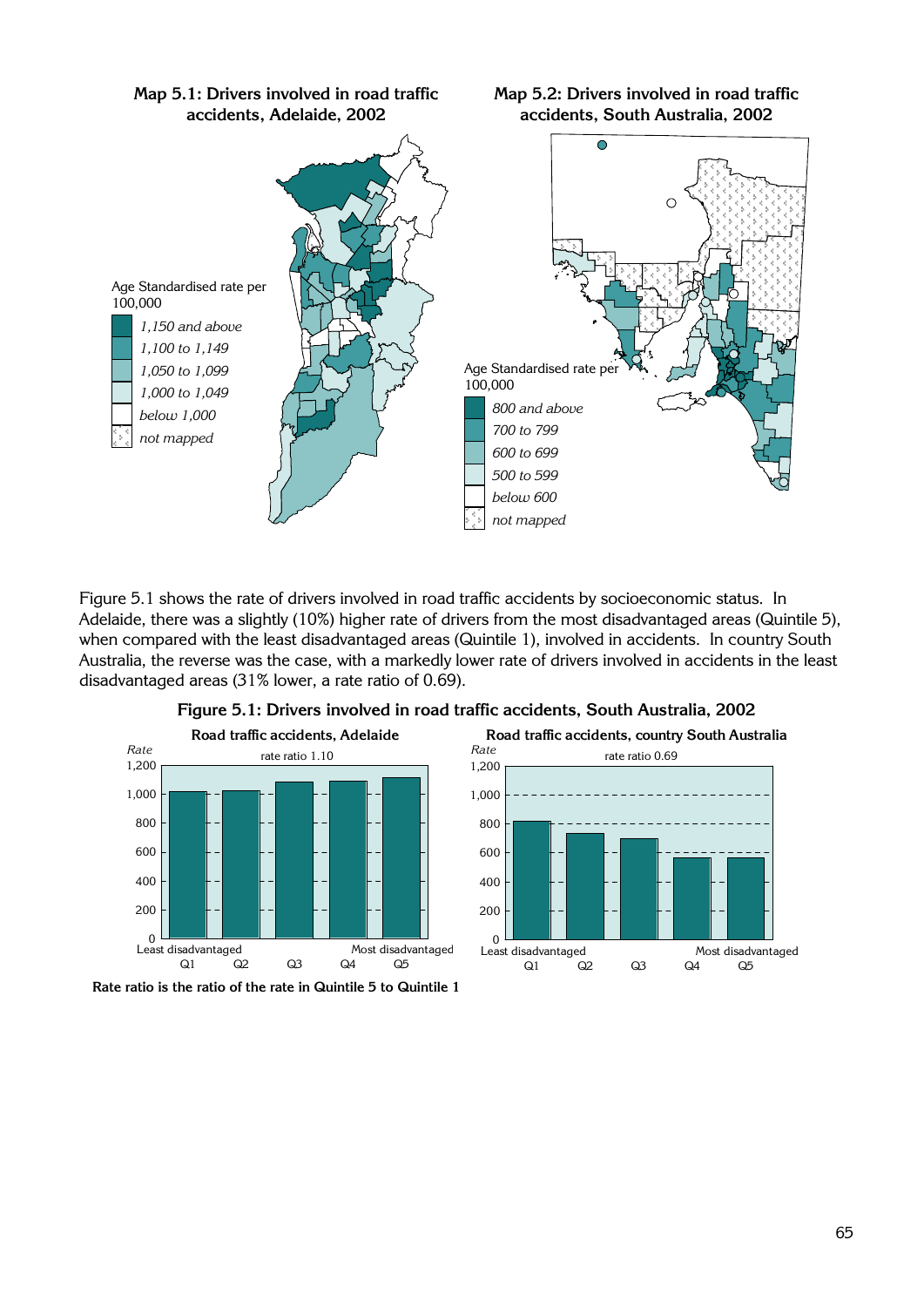

**Map 5.1: Drivers involved in road traffic accidents, Adelaide, 2002** 

**Map 5.2: Drivers involved in road traffic accidents, South Australia, 2002** 

Figure 5.1 shows the rate of drivers involved in road traffic accidents by socioeconomic status. In Adelaide, there was a slightly (10%) higher rate of drivers from the most disadvantaged areas (Quintile 5), when compared with the least disadvantaged areas (Quintile 1), involved in accidents. In country South Australia, the reverse was the case, with a markedly lower rate of drivers involved in accidents in the least disadvantaged areas (31% lower, a rate ratio of 0.69).



**Figure 5.1: Drivers involved in road traffic accidents, South Australia, 2002** 



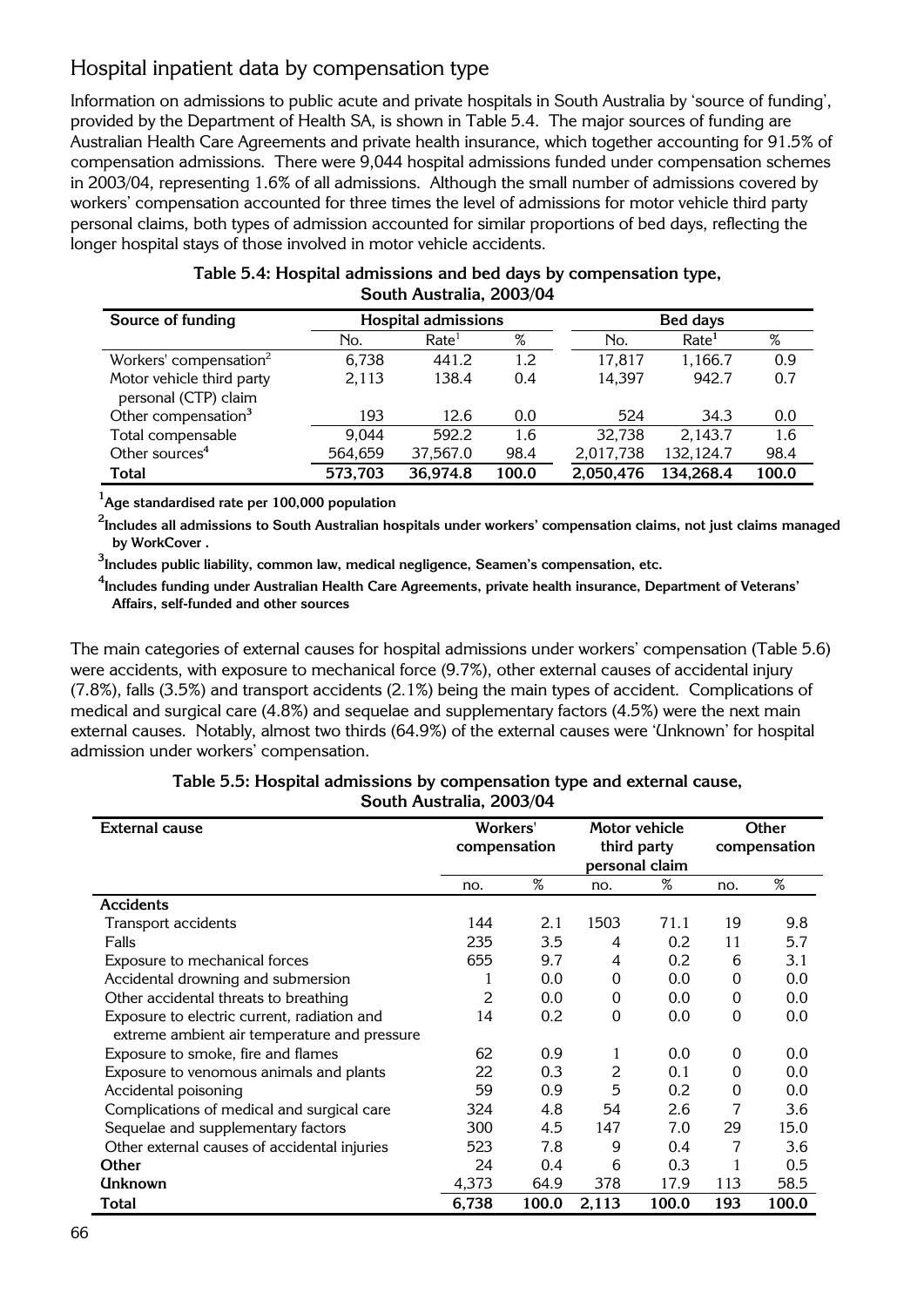### Hospital inpatient data by compensation type

Information on admissions to public acute and private hospitals in South Australia by 'source of funding', provided by the Department of Health SA, is shown in Table 5.4. The major sources of funding are Australian Health Care Agreements and private health insurance, which together accounting for 91.5% of compensation admissions. There were 9,044 hospital admissions funded under compensation schemes in 2003/04, representing 1.6% of all admissions. Although the small number of admissions covered by workers' compensation accounted for three times the level of admissions for motor vehicle third party personal claims, both types of admission accounted for similar proportions of bed days, reflecting the longer hospital stays of those involved in motor vehicle accidents.

| Source of funding                                 |         | <b>Hospital admissions</b> |         |           | <b>Bed days</b>   |       |  |  |  |
|---------------------------------------------------|---------|----------------------------|---------|-----------|-------------------|-------|--|--|--|
|                                                   | No.     | Rate <sup>1</sup>          | %       | No.       | Rate <sup>1</sup> | %     |  |  |  |
| Workers' compensation <sup>2</sup>                | 6,738   | 441.2                      | $1.2\,$ | 17,817    | 1,166.7           | 0.9   |  |  |  |
| Motor vehicle third party<br>personal (CTP) claim | 2,113   | 138.4                      | 0.4     | 14,397    | 942.7             | 0.7   |  |  |  |
| Other compensation <sup>3</sup>                   | 193     | 12.6                       | 0.0     | 524       | 34.3              | 0.0   |  |  |  |
| Total compensable                                 | 9,044   | 592.2                      | 1.6     | 32,738    | 2,143.7           | 1.6   |  |  |  |
| Other sources <sup>4</sup>                        | 564,659 | 37,567.0                   | 98.4    | 2,017,738 | 132,124.7         | 98.4  |  |  |  |
| <b>Total</b>                                      | 573,703 | 36,974.8                   | 100.0   | 2,050,476 | 134,268.4         | 100.0 |  |  |  |

| Table 5.4: Hospital admissions and bed days by compensation type, |
|-------------------------------------------------------------------|
| South Australia, 2003/04                                          |

**1 Age standardised rate per 100,000 population** 

**2 Includes all admissions to South Australian hospitals under workers' compensation claims, not just claims managed by WorkCover .** 

**3 Includes public liability, common law, medical negligence, Seamen's compensation, etc.** 

**4 Includes funding under Australian Health Care Agreements, private health insurance, Department of Veterans' Affairs, self-funded and other sources** 

The main categories of external causes for hospital admissions under workers' compensation (Table 5.6) were accidents, with exposure to mechanical force (9.7%), other external causes of accidental injury (7.8%), falls (3.5%) and transport accidents (2.1%) being the main types of accident. Complications of medical and surgical care (4.8%) and sequelae and supplementary factors (4.5%) were the next main external causes. Notably, almost two thirds (64.9%) of the external causes were 'Unknown' for hospital admission under workers' compensation.

#### **Table 5.5: Hospital admissions by compensation type and external cause, South Australia, 2003/04**

| <b>External cause</b>                        | Workers' |              |       | Motor vehicle  |     | Other        |
|----------------------------------------------|----------|--------------|-------|----------------|-----|--------------|
|                                              |          | compensation |       | third party    |     | compensation |
|                                              |          |              |       | personal claim |     |              |
|                                              | no.      | %            | no.   | %              | no. | $\%$         |
| <b>Accidents</b>                             |          |              |       |                |     |              |
| Transport accidents                          | 144      | 2.1          | 1503  | 71.1           | 19  | 9.8          |
| Falls                                        | 235      | 3.5          | 4     | 0.2            | 11  | 5.7          |
| Exposure to mechanical forces                | 655      | 9.7          | 4     | 0.2            | 6   | 3.1          |
| Accidental drowning and submersion           |          | 0.0          | 0     | 0.0            | 0   | 0.0          |
| Other accidental threats to breathing        | 2        | 0.0          | 0     | 0.0            | 0   | 0.0          |
| Exposure to electric current, radiation and  | 14       | 0.2          | 0     | 0.0            | 0   | 0.0          |
| extreme ambient air temperature and pressure |          |              |       |                |     |              |
| Exposure to smoke, fire and flames           | 62       | 0.9          |       | 0.0            | 0   | 0.0          |
| Exposure to venomous animals and plants      | 22       | 0.3          | 2     | 0.1            | 0   | 0.0          |
| Accidental poisoning                         | 59       | 0.9          | 5     | 0.2            | 0   | 0.0          |
| Complications of medical and surgical care   | 324      | 4.8          | 54    | 2.6            |     | 3.6          |
| Sequelae and supplementary factors           | 300      | 4.5          | 147   | 7.0            | 29  | 15.0         |
| Other external causes of accidental injuries | 523      | 7.8          | 9     | 0.4            | 7   | 3.6          |
| Other                                        | 24       | 0.4          | 6     | 0.3            |     | 0.5          |
| <b>Unknown</b>                               | 4,373    | 64.9         | 378   | 17.9           | 113 | 58.5         |
| Total                                        | 6,738    | 100.0        | 2,113 | 100.0          | 193 | 100.0        |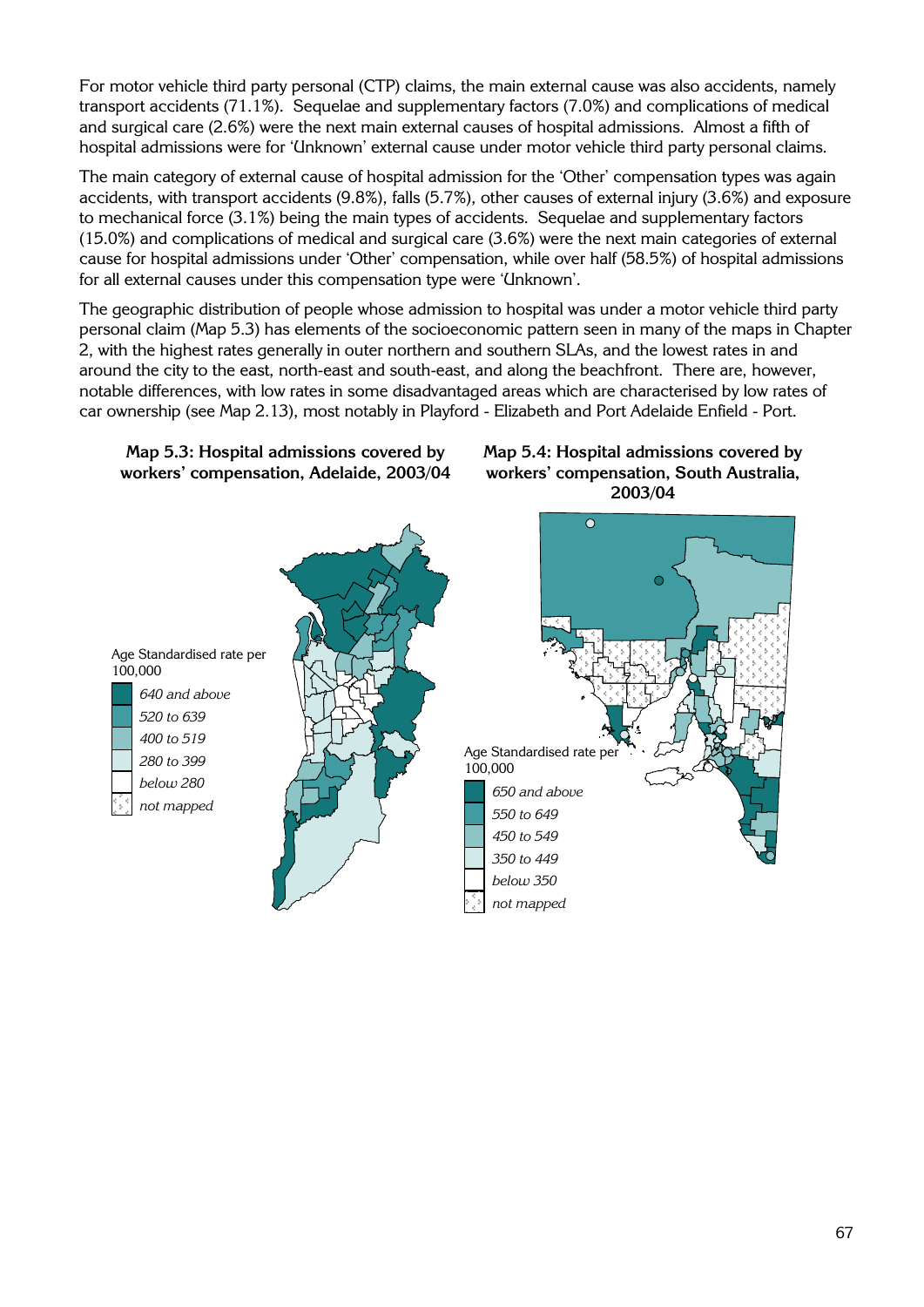For motor vehicle third party personal (CTP) claims, the main external cause was also accidents, namely transport accidents (71.1%). Sequelae and supplementary factors (7.0%) and complications of medical and surgical care (2.6%) were the next main external causes of hospital admissions. Almost a fifth of hospital admissions were for 'Unknown' external cause under motor vehicle third party personal claims.

The main category of external cause of hospital admission for the 'Other' compensation types was again accidents, with transport accidents (9.8%), falls (5.7%), other causes of external injury (3.6%) and exposure to mechanical force (3.1%) being the main types of accidents. Sequelae and supplementary factors (15.0%) and complications of medical and surgical care (3.6%) were the next main categories of external cause for hospital admissions under 'Other' compensation, while over half (58.5%) of hospital admissions for all external causes under this compensation type were 'Unknown'.

The geographic distribution of people whose admission to hospital was under a motor vehicle third party personal claim (Map 5.3) has elements of the socioeconomic pattern seen in many of the maps in Chapter 2, with the highest rates generally in outer northern and southern SLAs, and the lowest rates in and around the city to the east, north-east and south-east, and along the beachfront. There are, however, notable differences, with low rates in some disadvantaged areas which are characterised by low rates of car ownership (see Map 2.13), most notably in Playford - Elizabeth and Port Adelaide Enfield - Port.



**Map 5.4: Hospital admissions covered by workers' compensation, South Australia, 2003/04** 

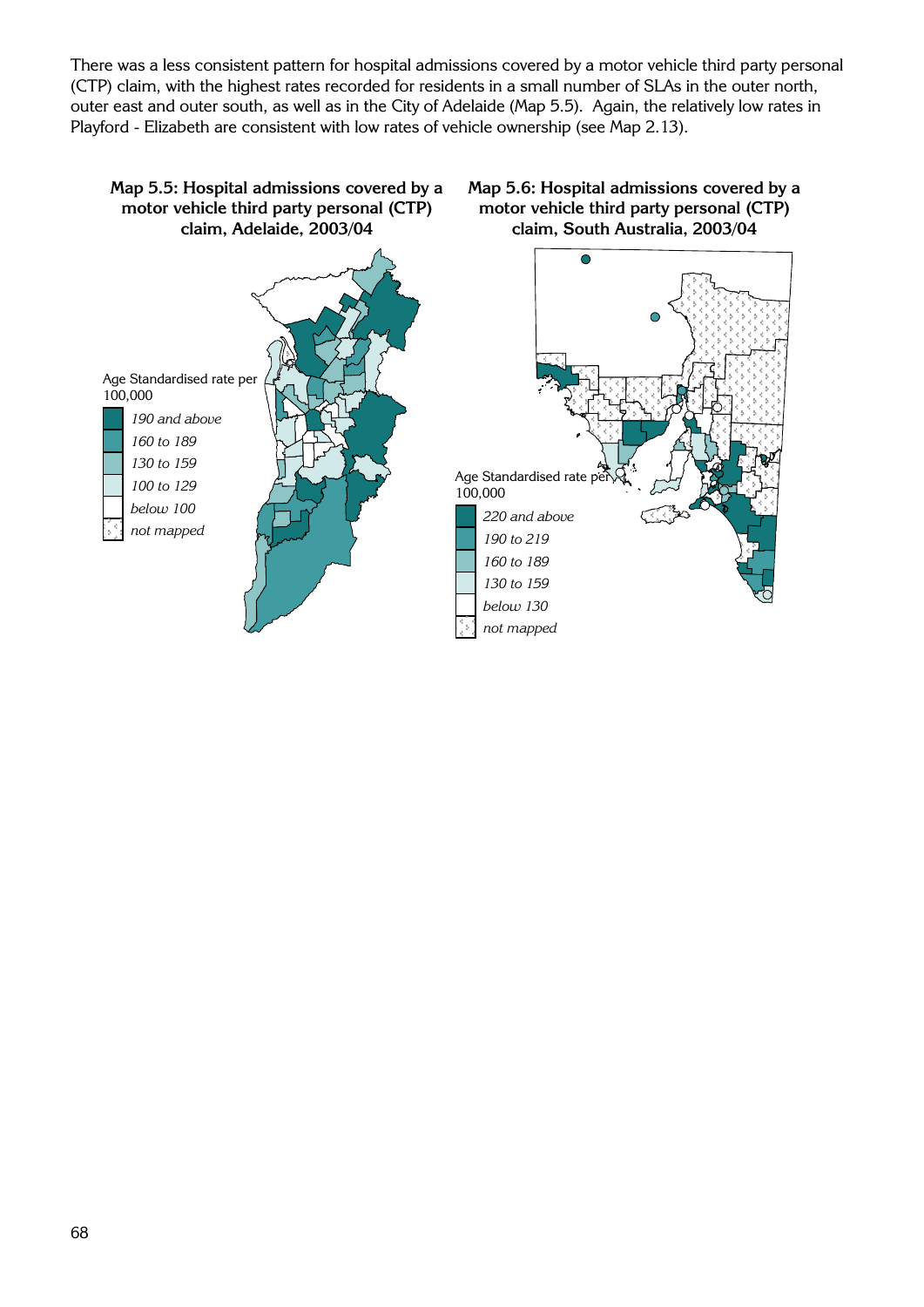There was a less consistent pattern for hospital admissions covered by a motor vehicle third party personal (CTP) claim, with the highest rates recorded for residents in a small number of SLAs in the outer north, outer east and outer south, as well as in the City of Adelaide (Map 5.5). Again, the relatively low rates in Playford - Elizabeth are consistent with low rates of vehicle ownership (see Map 2.13).

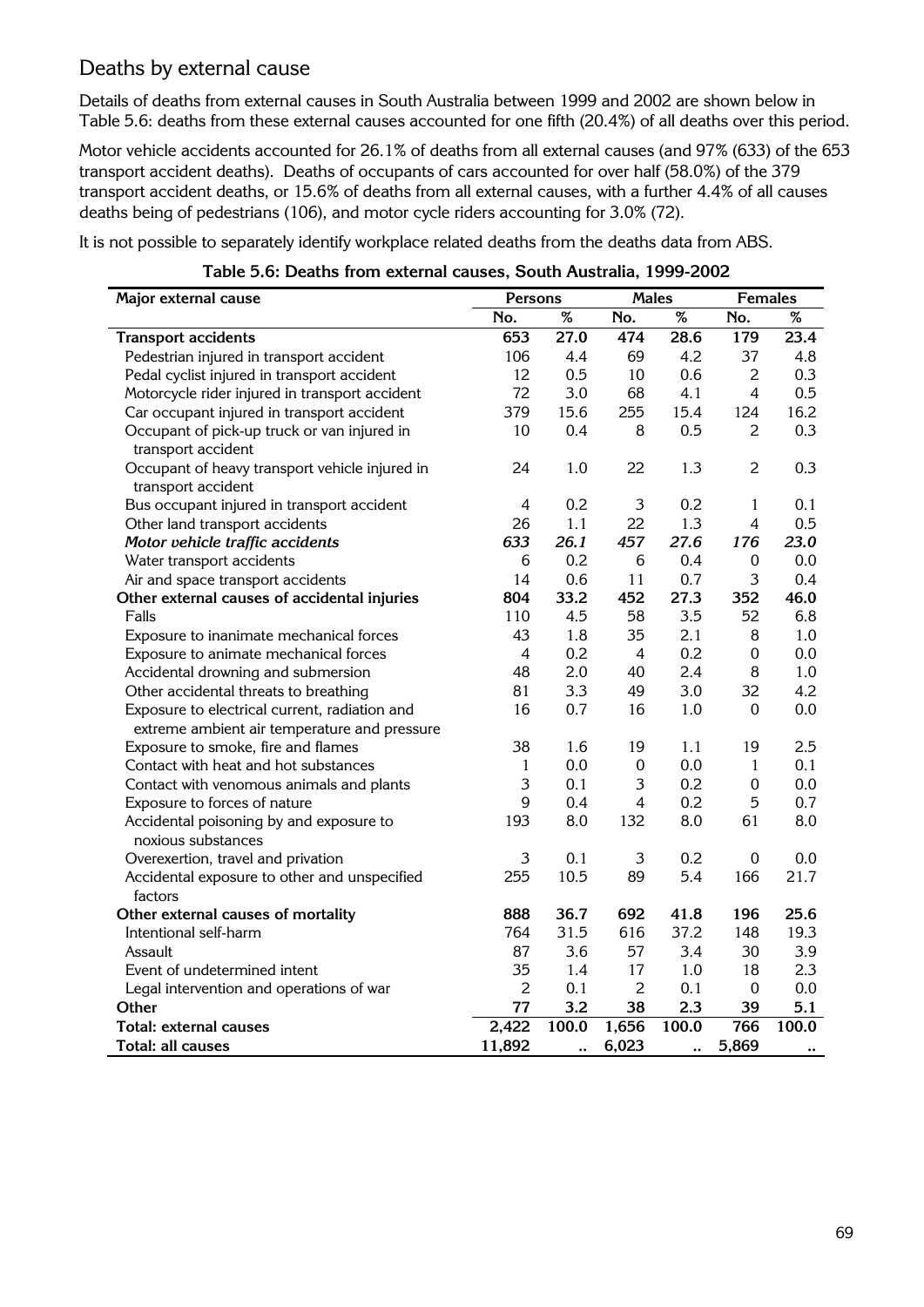#### Deaths by external cause

Details of deaths from external causes in South Australia between 1999 and 2002 are shown below in Table 5.6: deaths from these external causes accounted for one fifth (20.4%) of all deaths over this period.

Motor vehicle accidents accounted for 26.1% of deaths from all external causes (and 97% (633) of the 653 transport accident deaths). Deaths of occupants of cars accounted for over half (58.0%) of the 379 transport accident deaths, or 15.6% of deaths from all external causes, with a further 4.4% of all causes deaths being of pedestrians (106), and motor cycle riders accounting for 3.0% (72).

It is not possible to separately identify workplace related deaths from the deaths data from ABS.

| Major external cause                           | <b>Persons</b> |                | <b>Males</b>     |       | <b>Females</b>   |                      |
|------------------------------------------------|----------------|----------------|------------------|-------|------------------|----------------------|
|                                                | No.            | $\%$           | No.              | $\%$  | No.              | $\%$                 |
| <b>Transport accidents</b>                     | 653            | 27.0           | 474              | 28.6  | 179              | 23.4                 |
| Pedestrian injured in transport accident       | 106            | 4.4            | 69               | 4.2   | 37               | 4.8                  |
| Pedal cyclist injured in transport accident    | 12             | 0.5            | 10               | 0.6   | $\overline{2}$   | 0.3                  |
| Motorcycle rider injured in transport accident | 72             | 3.0            | 68               | 4.1   | $\overline{4}$   | 0.5                  |
| Car occupant injured in transport accident     | 379            | 15.6           | 255              | 15.4  | 124              | 16.2                 |
| Occupant of pick-up truck or van injured in    | 10             | 0.4            | 8                | 0.5   | 2                | 0.3                  |
| transport accident                             |                |                |                  |       |                  |                      |
| Occupant of heavy transport vehicle injured in | 24             | 1.0            | 22               | 1.3   | $\overline{2}$   | 0.3                  |
| transport accident                             |                |                |                  |       |                  |                      |
| Bus occupant injured in transport accident     | 4              | 0.2            | 3                | 0.2   | $\mathbf{1}$     | 0.1                  |
| Other land transport accidents                 | 26             | 1.1            | 22               | 1.3   | $\overline{4}$   | 0.5                  |
| Motor vehicle traffic accidents                | 633            | 26.1           | 457              | 27.6  | 176              | 23.0                 |
| Water transport accidents                      | 6              | 0.2            | 6                | 0.4   | 0                | 0.0                  |
| Air and space transport accidents              | 14             | 0.6            | 11               | 0.7   | 3                | 0.4                  |
| Other external causes of accidental injuries   | 804            | 33.2           | 452              | 27.3  | 352              | 46.0                 |
| Falls                                          | 110            | 4.5            | 58               | 3.5   | 52               | 6.8                  |
| Exposure to inanimate mechanical forces        | 43             | 1.8            | 35               | 2.1   | 8                | 1.0                  |
| Exposure to animate mechanical forces          | $\overline{4}$ | 0.2            | $\overline{4}$   | 0.2   | $\boldsymbol{0}$ | 0.0                  |
| Accidental drowning and submersion             | 48             | 2.0            | 40               | 2.4   | 8                | 1.0                  |
| Other accidental threats to breathing          | 81             | 3.3            | 49               | 3.0   | 32               | 4.2                  |
| Exposure to electrical current, radiation and  | 16             | 0.7            | 16               | 1.0   | $\mathbf 0$      | 0.0                  |
| extreme ambient air temperature and pressure   |                |                |                  |       |                  |                      |
| Exposure to smoke, fire and flames             | 38             | 1.6            | 19               | 1.1   | 19               | 2.5                  |
| Contact with heat and hot substances           | $\mathbf{1}$   | 0.0            | $\boldsymbol{0}$ | 0.0   | $\mathbf{1}$     | 0.1                  |
| Contact with venomous animals and plants       | 3              | 0.1            | 3                | 0.2   | $\mathbf 0$      | 0.0                  |
| Exposure to forces of nature                   | 9              | 0.4            | 4                | 0.2   | 5                | 0.7                  |
| Accidental poisoning by and exposure to        | 193            | 8.0            | 132              | 8.0   | 61               | 8.0                  |
| noxious substances                             |                |                |                  |       |                  |                      |
| Overexertion, travel and privation             | 3              | 0.1            | 3                | 0.2   | $\mathbf 0$      | 0.0                  |
| Accidental exposure to other and unspecified   | 255            | 10.5           | 89               | 5.4   | 166              | 21.7                 |
| factors                                        |                |                |                  |       |                  |                      |
| Other external causes of mortality             | 888            | 36.7           | 692              | 41.8  | 196              | 25.6                 |
| Intentional self-harm                          | 764            | 31.5           | 616              | 37.2  | 148              | 19.3                 |
| Assault                                        | 87             | 3.6            | 57               | 3.4   | 30               | 3.9                  |
| Event of undetermined intent                   | 35             | 1.4            | 17               | 1.0   | 18               | 2.3                  |
| Legal intervention and operations of war       | $\overline{2}$ | 0.1            | $\overline{2}$   | 0.1   | $\boldsymbol{0}$ | 0.0                  |
| Other                                          | 77             | 3.2            | 38               | 2.3   | 39               | 5.1                  |
| <b>Total: external causes</b>                  | 2,422          | 100.0          | 1,656            | 100.0 | 766              | 100.0                |
| Total: all causes                              | 11,892         | $\ddot{\cdot}$ | 6,023            |       | 5,869            | $\ddot{\phantom{0}}$ |

**Table 5.6: Deaths from external causes, South Australia, 1999-2002**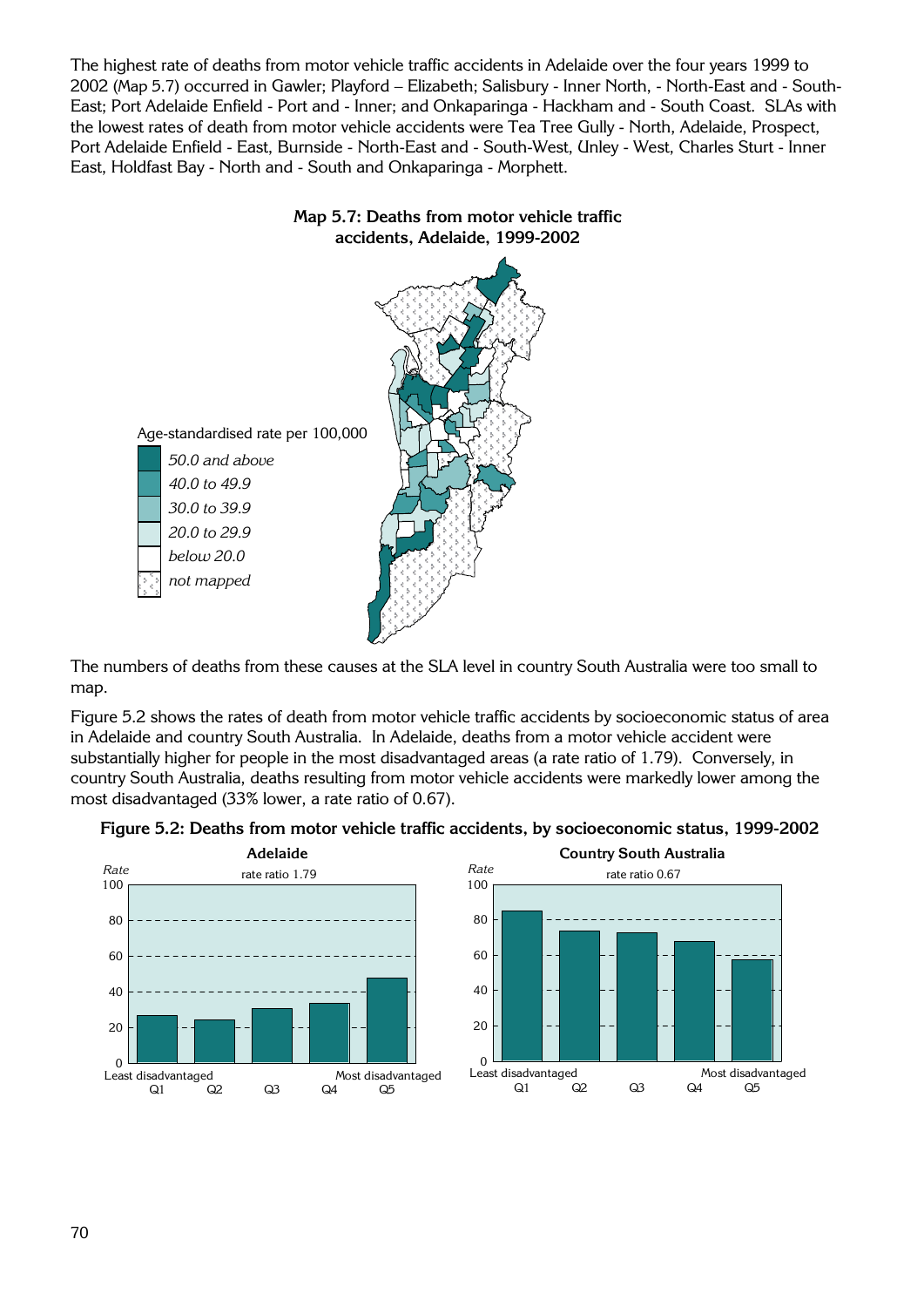The highest rate of deaths from motor vehicle traffic accidents in Adelaide over the four years 1999 to 2002 (Map 5.7) occurred in Gawler; Playford – Elizabeth; Salisbury - Inner North, - North-East and - South-East; Port Adelaide Enfield - Port and - Inner; and Onkaparinga - Hackham and - South Coast. SLAs with the lowest rates of death from motor vehicle accidents were Tea Tree Gully - North, Adelaide, Prospect, Port Adelaide Enfield - East, Burnside - North-East and - South-West, Unley - West, Charles Sturt - Inner East, Holdfast Bay - North and - South and Onkaparinga - Morphett.



**accidents, Adelaide, 1999-2002** 

**Map 5.7: Deaths from motor vehicle traffic** 

The numbers of deaths from these causes at the SLA level in country South Australia were too small to map.

Figure 5.2 shows the rates of death from motor vehicle traffic accidents by socioeconomic status of area in Adelaide and country South Australia. In Adelaide, deaths from a motor vehicle accident were substantially higher for people in the most disadvantaged areas (a rate ratio of 1.79). Conversely, in country South Australia, deaths resulting from motor vehicle accidents were markedly lower among the most disadvantaged (33% lower, a rate ratio of 0.67).





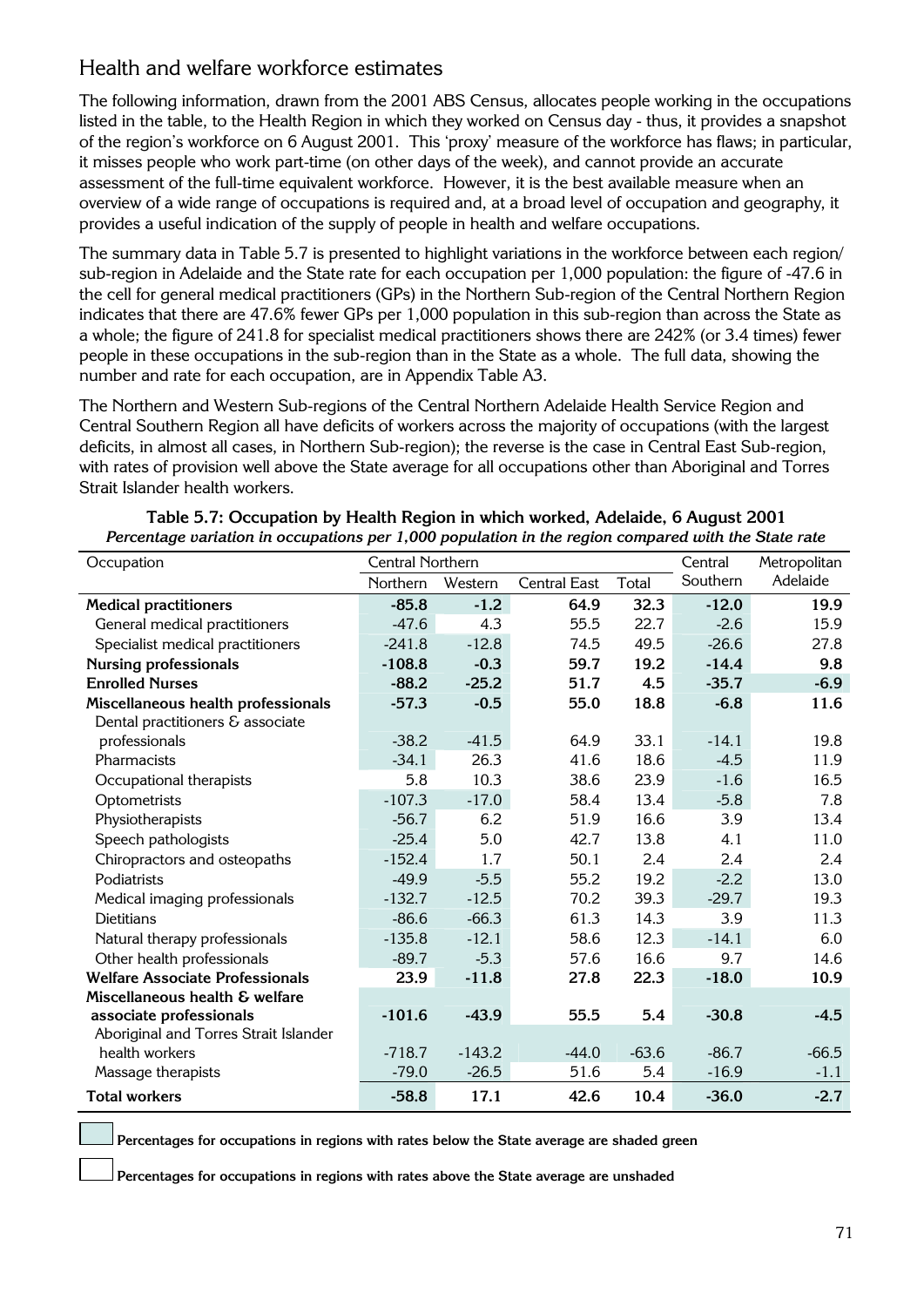#### Health and welfare workforce estimates

The following information, drawn from the 2001 ABS Census, allocates people working in the occupations listed in the table, to the Health Region in which they worked on Census day - thus, it provides a snapshot of the region's workforce on 6 August 2001. This 'proxy' measure of the workforce has flaws; in particular, it misses people who work part-time (on other days of the week), and cannot provide an accurate assessment of the full-time equivalent workforce. However, it is the best available measure when an overview of a wide range of occupations is required and, at a broad level of occupation and geography, it provides a useful indication of the supply of people in health and welfare occupations.

The summary data in Table 5.7 is presented to highlight variations in the workforce between each region/ sub-region in Adelaide and the State rate for each occupation per 1,000 population: the figure of -47.6 in the cell for general medical practitioners (GPs) in the Northern Sub-region of the Central Northern Region indicates that there are 47.6% fewer GPs per 1,000 population in this sub-region than across the State as a whole; the figure of 241.8 for specialist medical practitioners shows there are 242% (or 3.4 times) fewer people in these occupations in the sub-region than in the State as a whole. The full data, showing the number and rate for each occupation, are in Appendix Table A3.

The Northern and Western Sub-regions of the Central Northern Adelaide Health Service Region and Central Southern Region all have deficits of workers across the majority of occupations (with the largest deficits, in almost all cases, in Northern Sub-region); the reverse is the case in Central East Sub-region, with rates of provision well above the State average for all occupations other than Aboriginal and Torres Strait Islander health workers.

| Occupation                             | <b>Central Northern</b> |          |                     |         | Central  | Metropolitan |
|----------------------------------------|-------------------------|----------|---------------------|---------|----------|--------------|
|                                        | Northern                | Western  | <b>Central East</b> | Total   | Southern | Adelaide     |
| <b>Medical practitioners</b>           | $-85.8$                 | $-1.2$   | 64.9                | 32.3    | $-12.0$  | 19.9         |
| General medical practitioners          | $-47.6$                 | 4.3      | 55.5                | 22.7    | $-2.6$   | 15.9         |
| Specialist medical practitioners       | $-241.8$                | $-12.8$  | 74.5                | 49.5    | $-26.6$  | 27.8         |
| <b>Nursing professionals</b>           | $-108.8$                | $-0.3$   | 59.7                | 19.2    | $-14.4$  | 9.8          |
| <b>Enrolled Nurses</b>                 | $-88.2$                 | $-25.2$  | 51.7                | 4.5     | $-35.7$  | $-6.9$       |
| Miscellaneous health professionals     | $-57.3$                 | $-0.5$   | 55.0                | 18.8    | $-6.8$   | 11.6         |
| Dental practitioners & associate       |                         |          |                     |         |          |              |
| professionals                          | $-38.2$                 | $-41.5$  | 64.9                | 33.1    | $-14.1$  | 19.8         |
| Pharmacists                            | $-34.1$                 | 26.3     | 41.6                | 18.6    | $-4.5$   | 11.9         |
| Occupational therapists                | 5.8                     | 10.3     | 38.6                | 23.9    | $-1.6$   | 16.5         |
| Optometrists                           | $-107.3$                | $-17.0$  | 58.4                | 13.4    | $-5.8$   | 7.8          |
| Physiotherapists                       | $-56.7$                 | 6.2      | 51.9                | 16.6    | 3.9      | 13.4         |
| Speech pathologists                    | $-25.4$                 | 5.0      | 42.7                | 13.8    | 4.1      | 11.0         |
| Chiropractors and osteopaths           | $-152.4$                | 1.7      | 50.1                | 2.4     | 2.4      | 2.4          |
| Podiatrists                            | $-49.9$                 | $-5.5$   | 55.2                | 19.2    | $-2.2$   | 13.0         |
| Medical imaging professionals          | $-132.7$                | $-12.5$  | 70.2                | 39.3    | $-29.7$  | 19.3         |
| <b>Dietitians</b>                      | $-86.6$                 | $-66.3$  | 61.3                | 14.3    | 3.9      | 11.3         |
| Natural therapy professionals          | $-135.8$                | $-12.1$  | 58.6                | 12.3    | $-14.1$  | 6.0          |
| Other health professionals             | $-89.7$                 | $-5.3$   | 57.6                | 16.6    | 9.7      | 14.6         |
| <b>Welfare Associate Professionals</b> | 23.9                    | $-11.8$  | 27.8                | 22.3    | $-18.0$  | 10.9         |
| Miscellaneous health & welfare         |                         |          |                     |         |          |              |
| associate professionals                | $-101.6$                | $-43.9$  | 55.5                | 5.4     | $-30.8$  | $-4.5$       |
| Aboriginal and Torres Strait Islander  |                         |          |                     |         |          |              |
| health workers                         | $-718.7$                | $-143.2$ | $-44.0$             | $-63.6$ | $-86.7$  | $-66.5$      |
| Massage therapists                     | $-79.0$                 | $-26.5$  | 51.6                | 5.4     | $-16.9$  | $-1.1$       |
| <b>Total workers</b>                   | $-58.8$                 | 17.1     | 42.6                | 10.4    | $-36.0$  | $-2.7$       |

| Table 5.7: Occupation by Health Region in which worked, Adelaide, 6 August 2001                     |
|-----------------------------------------------------------------------------------------------------|
| Percentage variation in occupations per 1,000 population in the region compared with the State rate |

**Percentages for occupations in regions with rates below the State average are shaded green** 

**Percentages for occupations in regions with rates above the State average are unshaded**